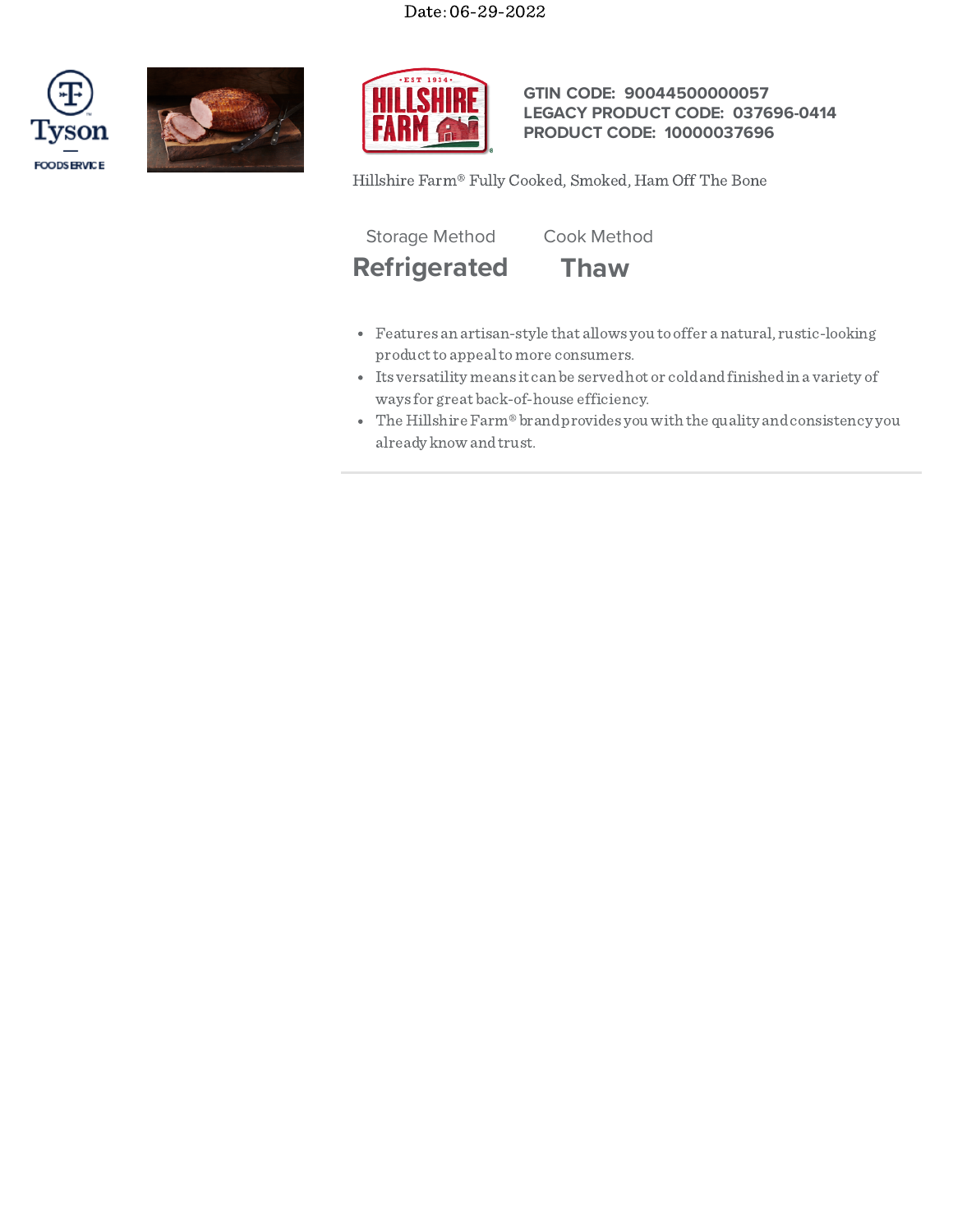## Date: 06-29-2022







## **GTIN CODE: 90044500000057 LEGACY PRODUCT CODE: 037696-0414 PRODUCT CODE: 10000037696**

Hillshire Farm® Fully Cooked, Smoked, Ham Off The Bone

Storage Method Cook Method

**Refrigerated Thaw**

- Features an artisan-style that allows you to offer a natural, rustic-looking product to appeal to more consumers.
- Its versatility means it can be servedhot or coldandfinishedin a variety of ways for great back-of-house efficiency.
- The Hillshire Farm® brand provides you with the quality and consistency you already know andtrust.